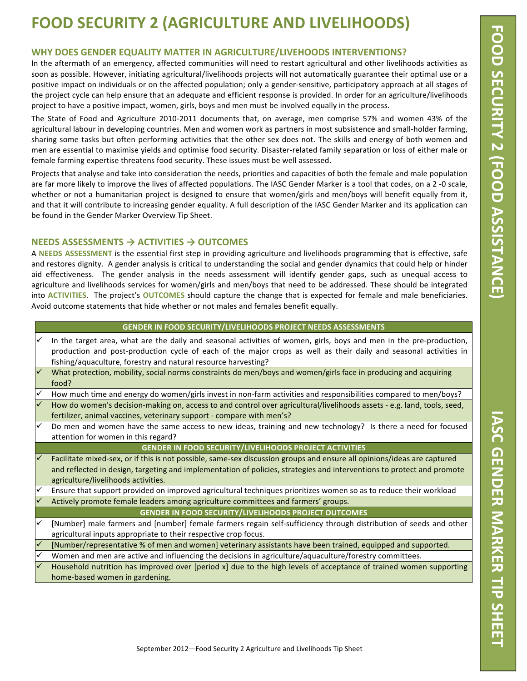# **FOOD SECURITY 2 (AGRICULTURE AND LIVELIHOODS)**

## WHY DOES GENDER EQUALITY MATTER IN AGRICULTURE/LIVEHOODS INTERVENTIONS?

In the aftermath of an emergency, affected communities will need to restart agricultural and other livelihoods activities as soon as possible. However, initiating agricultural/livelihoods projects will not automatically guarantee their optimal use or a positive impact on individuals or on the affected population; only a gender-sensitive, participatory approach at all stages of the project cycle can help ensure that an adequate and efficient response is provided. In order for an agriculture/livelihoods project to have a positive impact, women, girls, boys and men must be involved equally in the process.

The State of Food and Agriculture 2010-2011 documents that, on average, men comprise 57% and women 43% of the agricultural labour in developing countries. Men and women work as partners in most subsistence and small-holder farming, sharing some tasks but often performing activities that the other sex does not. The skills and energy of both women and men are essential to maximise yields and optimise food security. Disaster-related family separation or loss of either male or female farming expertise threatens food security. These issues must be well assessed.

Projects that analyse and take into consideration the needs, priorities and capacities of both the female and male population are far more likely to improve the lives of affected populations. The IASC Gender Marker is a tool that codes, on a 2-0 scale, whether or not a humanitarian project is designed to ensure that women/girls and men/boys will benefit equally from it, and that it will contribute to increasing gender equality. A full description of the IASC Gender Marker and its application can be found in the Gender Marker Overview Tip Sheet.

## **NEEDS ASSESSMENTS → ACTIVITIES → OUTCOMES**

A NEEDS ASSESSMENT is the essential first step in providing agriculture and livelihoods programming that is effective, safe and restores dignity. A gender analysis is critical to understanding the social and gender dynamics that could help or hinder aid effectiveness. The gender analysis in the needs assessment will identify gender gaps, such as unequal access to agriculture and livelihoods services for women/girls and men/boys that need to be addressed. These should be integrated into **ACTIVITIES**. The project's **OUTCOMES** should capture the change that is expected for female and male beneficiaries. Avoid outcome statements that hide whether or not males and females benefit equally.

#### **GENDER IN FOOD SECURITY/LIVELIHOODS PROJECT NEEDS ASSESSMENTS**

- In the target area, what are the daily and seasonal activities of women, girls, boys and men in the pre-production, production and post-production cycle of each of the major crops as well as their daily and seasonal activities in fishing/aquaculture, forestry and natural resource harvesting?
- What protection, mobility, social norms constraints do men/boys and women/girls face in producing and acquiring food?
- How much time and energy do women/girls invest in non-farm activities and responsibilities compared to men/boys?
- How do women's decision-making on, access to and control over agricultural/livelihoods assets e.g. land, tools, seed, fertilizer, animal vaccines, veterinary support - compare with men's?
- Do men and women have the same access to new ideas, training and new technology? Is there a need for focused attention for women in this regard?

#### **GENDER IN FOOD SECURITY/LIVELIHOODS PROJECT ACTIVITIES**

- Facilitate mixed-sex, or if this is not possible, same-sex discussion groups and ensure all opinions/ideas are captured and reflected in design, targeting and implementation of policies, strategies and interventions to protect and promote agriculture/livelihoods activities.
- Ensure that support provided on improved agricultural techniques prioritizes women so as to reduce their workload Actively promote female leaders among agriculture committees and farmers' groups.

#### **GENDER IN FOOD SECURITY/LIVELIHOODS PROJECT OUTCOMES**

- [Number] male farmers and [number] female farmers regain self-sufficiency through distribution of seeds and other agricultural inputs appropriate to their respective crop focus.
- [Number/representative % of men and women] veterinary assistants have been trained, equipped and supported.
- Women and men are active and influencing the decisions in agriculture/aquaculture/forestry committees.
- Household nutrition has improved over [period x] due to the high levels of acceptance of trained women supporting home-based women in gardening.